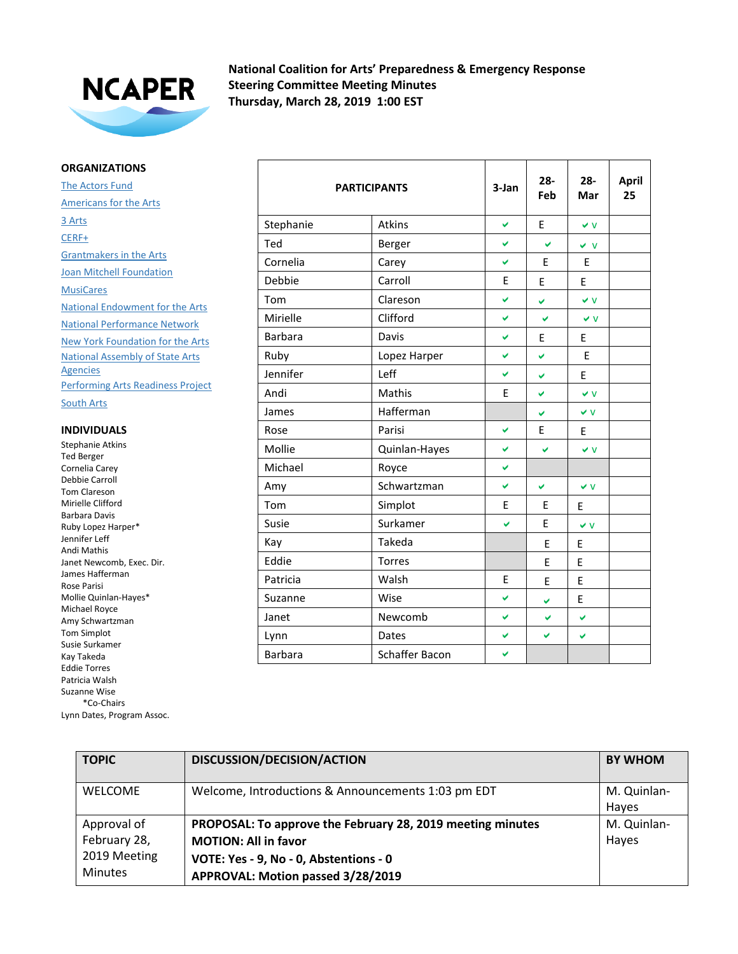

**National Coalition for Arts' Preparedness & Emergency Response Steering Committee Meeting Minutes Thursday, March 28, 2019 1:00 EST**

## **ORGANIZATIONS**

The Actors Fund Americans for the Arts 3 Arts CERF+ Grantmakers in the Arts **Joan Mitchell Foundation MusiCares** National Endowment for the Arts National Performance Network New York Foundation for the Arts National Assembly of State Arts **Agencies** Performing Arts Readiness Project

South Arts

## **INDIVIDUALS**

Stephanie Atkins Ted Berger Cornelia Carey Debbie Carroll Tom Clareson Mirielle Clifford Barbara Davis Ruby Lopez Harper\* Jennifer Leff Andi Mathis Janet Newcomb, Exec. Dir. James Hafferman Rose Parisi Mollie Quinlan-Hayes\* Michael Royce Amy Schwartzman Tom Simplot Susie Surkamer Kay Takeda Eddie Torres Patricia Walsh Suzanne Wise \*Co-Chairs Lynn Dates, Program Assoc.

|                | <b>PARTICIPANTS</b> | 3-Jan | $28 -$<br>Feb | $28 -$<br>Mar | <b>April</b><br>25 |
|----------------|---------------------|-------|---------------|---------------|--------------------|
| Stephanie      | Atkins              | V     | E             | $\vee$ V      |                    |
| Ted            | Berger              | ✓     | U             | $\vee$ $\vee$ |                    |
| Cornelia       | Carey               | Ø     | E             | E             |                    |
| Debbie         | Carroll             | E     | E             | E             |                    |
| Tom            | Clareson            | V     | ✔             | $\vee$ V      |                    |
| Mirielle       | Clifford            | V     | V             | $\vee$ V      |                    |
| <b>Barbara</b> | Davis               | ✓     | E             | E             |                    |
| Ruby           | Lopez Harper        | ✓     | V             | E             |                    |
| Jennifer       | Leff                | V     | V             | E             |                    |
| Andi           | Mathis              | E     | Ø             | $\vee$ V      |                    |
| James          | Hafferman           |       | ✔             | $\vee$ V      |                    |
| Rose           | Parisi              | v     | E             | E             |                    |
| Mollie         | Quinlan-Hayes       | Ō.    | V             | $\vee$ V      |                    |
| Michael        | Royce               | V     |               |               |                    |
| Amy            | Schwartzman         | ✓     | V             | $\vee$ V      |                    |
| Tom            | Simplot             | E     | E             | E             |                    |
| Susie          | Surkamer            | V     | E             | $\vee$ V      |                    |
| Kay            | Takeda              |       | E             | E             |                    |
| Eddie          | <b>Torres</b>       |       | E             | E             |                    |
| Patricia       | Walsh               | E     | E             | E             |                    |
| Suzanne        | Wise                | V     | Ø             | E             |                    |
| Janet          | Newcomb             | ✔     | ✔             | V             |                    |
| Lynn           | Dates               | ✓     | V             | V             |                    |
| <b>Barbara</b> | Schaffer Bacon      | V     |               |               |                    |

| <b>TOPIC</b>   | DISCUSSION/DECISION/ACTION                                 | <b>BY WHOM</b> |
|----------------|------------------------------------------------------------|----------------|
| <b>WELCOME</b> |                                                            | M. Quinlan-    |
|                | Welcome, Introductions & Announcements 1:03 pm EDT         |                |
|                |                                                            | Hayes          |
| Approval of    | PROPOSAL: To approve the February 28, 2019 meeting minutes | M. Quinlan-    |
| February 28,   | <b>MOTION: All in favor</b>                                | Hayes          |
| 2019 Meeting   | VOTE: Yes - 9, No - 0, Abstentions - 0                     |                |
| <b>Minutes</b> | APPROVAL: Motion passed 3/28/2019                          |                |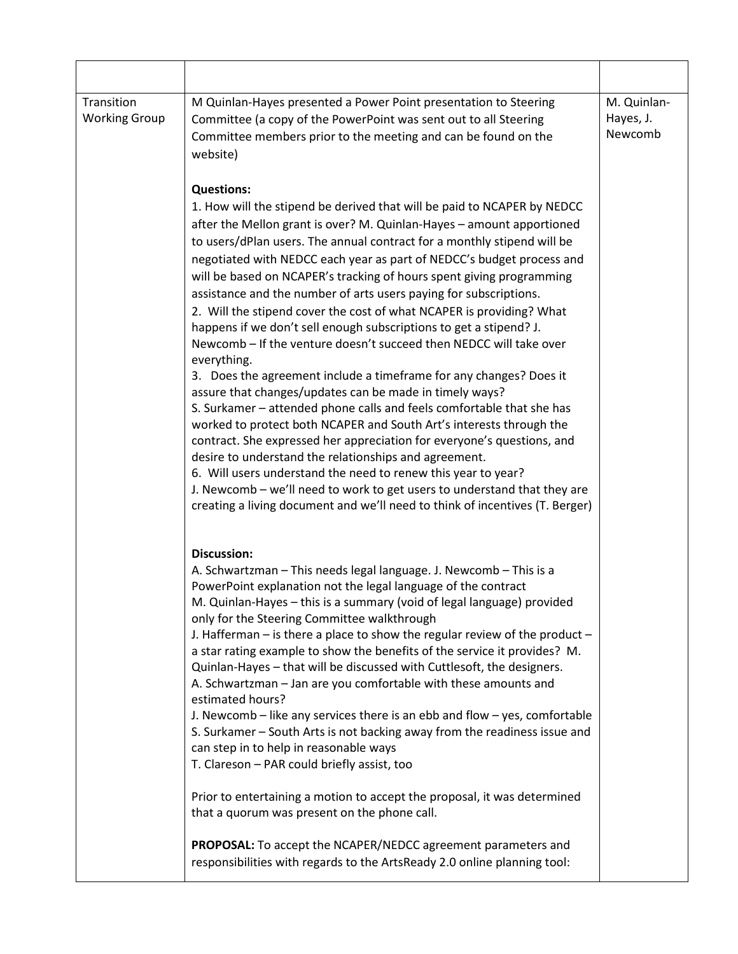| Transition<br><b>Working Group</b> | M Quinlan-Hayes presented a Power Point presentation to Steering<br>Committee (a copy of the PowerPoint was sent out to all Steering<br>Committee members prior to the meeting and can be found on the<br>website)                                                                                                                                                                                                                                                                                                                                                                                                                                                                                                                                                                                                                                                                                                                                                                                                                                                                                                                                                                                                                                                                                                                                         | M. Quinlan-<br>Hayes, J.<br>Newcomb |
|------------------------------------|------------------------------------------------------------------------------------------------------------------------------------------------------------------------------------------------------------------------------------------------------------------------------------------------------------------------------------------------------------------------------------------------------------------------------------------------------------------------------------------------------------------------------------------------------------------------------------------------------------------------------------------------------------------------------------------------------------------------------------------------------------------------------------------------------------------------------------------------------------------------------------------------------------------------------------------------------------------------------------------------------------------------------------------------------------------------------------------------------------------------------------------------------------------------------------------------------------------------------------------------------------------------------------------------------------------------------------------------------------|-------------------------------------|
|                                    | <b>Questions:</b><br>1. How will the stipend be derived that will be paid to NCAPER by NEDCC<br>after the Mellon grant is over? M. Quinlan-Hayes - amount apportioned<br>to users/dPlan users. The annual contract for a monthly stipend will be<br>negotiated with NEDCC each year as part of NEDCC's budget process and<br>will be based on NCAPER's tracking of hours spent giving programming<br>assistance and the number of arts users paying for subscriptions.<br>2. Will the stipend cover the cost of what NCAPER is providing? What<br>happens if we don't sell enough subscriptions to get a stipend? J.<br>Newcomb - If the venture doesn't succeed then NEDCC will take over<br>everything.<br>3. Does the agreement include a timeframe for any changes? Does it<br>assure that changes/updates can be made in timely ways?<br>S. Surkamer - attended phone calls and feels comfortable that she has<br>worked to protect both NCAPER and South Art's interests through the<br>contract. She expressed her appreciation for everyone's questions, and<br>desire to understand the relationships and agreement.<br>6. Will users understand the need to renew this year to year?<br>J. Newcomb - we'll need to work to get users to understand that they are<br>creating a living document and we'll need to think of incentives (T. Berger) |                                     |
|                                    | <b>Discussion:</b><br>A. Schwartzman - This needs legal language. J. Newcomb - This is a<br>PowerPoint explanation not the legal language of the contract<br>M. Quinlan-Hayes - this is a summary (void of legal language) provided<br>only for the Steering Committee walkthrough<br>J. Hafferman $-$ is there a place to show the regular review of the product $-$<br>a star rating example to show the benefits of the service it provides? M.<br>Quinlan-Hayes - that will be discussed with Cuttlesoft, the designers.<br>A. Schwartzman - Jan are you comfortable with these amounts and<br>estimated hours?<br>J. Newcomb – like any services there is an ebb and flow – yes, comfortable<br>S. Surkamer - South Arts is not backing away from the readiness issue and<br>can step in to help in reasonable ways<br>T. Clareson - PAR could briefly assist, too<br>Prior to entertaining a motion to accept the proposal, it was determined<br>that a quorum was present on the phone call.<br><b>PROPOSAL:</b> To accept the NCAPER/NEDCC agreement parameters and<br>responsibilities with regards to the ArtsReady 2.0 online planning tool:                                                                                                                                                                                                    |                                     |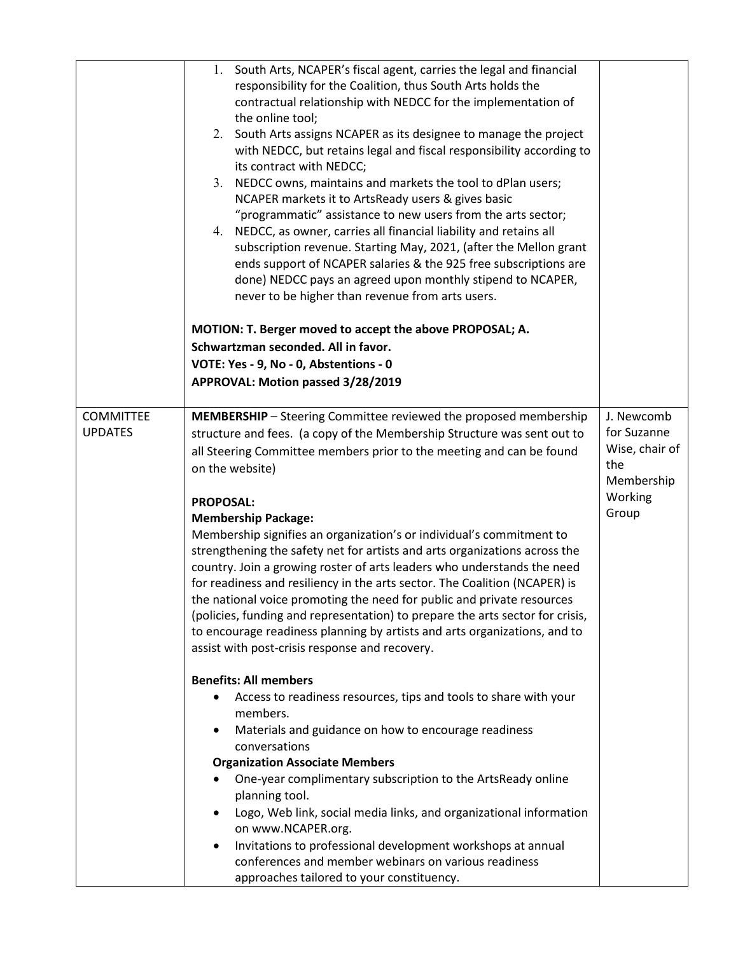|                                    | 1. South Arts, NCAPER's fiscal agent, carries the legal and financial<br>responsibility for the Coalition, thus South Arts holds the<br>contractual relationship with NEDCC for the implementation of<br>the online tool;<br>2. South Arts assigns NCAPER as its designee to manage the project<br>with NEDCC, but retains legal and fiscal responsibility according to<br>its contract with NEDCC;<br>3. NEDCC owns, maintains and markets the tool to dPlan users;<br>NCAPER markets it to ArtsReady users & gives basic<br>"programmatic" assistance to new users from the arts sector;<br>4. NEDCC, as owner, carries all financial liability and retains all<br>subscription revenue. Starting May, 2021, (after the Mellon grant<br>ends support of NCAPER salaries & the 925 free subscriptions are<br>done) NEDCC pays an agreed upon monthly stipend to NCAPER,<br>never to be higher than revenue from arts users.<br>MOTION: T. Berger moved to accept the above PROPOSAL; A.<br>Schwartzman seconded. All in favor.<br>VOTE: Yes - 9, No - 0, Abstentions - 0<br>APPROVAL: Motion passed 3/28/2019 |                                             |
|------------------------------------|----------------------------------------------------------------------------------------------------------------------------------------------------------------------------------------------------------------------------------------------------------------------------------------------------------------------------------------------------------------------------------------------------------------------------------------------------------------------------------------------------------------------------------------------------------------------------------------------------------------------------------------------------------------------------------------------------------------------------------------------------------------------------------------------------------------------------------------------------------------------------------------------------------------------------------------------------------------------------------------------------------------------------------------------------------------------------------------------------------------|---------------------------------------------|
| <b>COMMITTEE</b><br><b>UPDATES</b> | <b>MEMBERSHIP</b> - Steering Committee reviewed the proposed membership<br>structure and fees. (a copy of the Membership Structure was sent out to<br>all Steering Committee members prior to the meeting and can be found                                                                                                                                                                                                                                                                                                                                                                                                                                                                                                                                                                                                                                                                                                                                                                                                                                                                                     | J. Newcomb<br>for Suzanne<br>Wise, chair of |
|                                    | on the website)                                                                                                                                                                                                                                                                                                                                                                                                                                                                                                                                                                                                                                                                                                                                                                                                                                                                                                                                                                                                                                                                                                | the<br>Membership                           |
|                                    | <b>PROPOSAL:</b>                                                                                                                                                                                                                                                                                                                                                                                                                                                                                                                                                                                                                                                                                                                                                                                                                                                                                                                                                                                                                                                                                               | Working                                     |
|                                    | <b>Membership Package:</b>                                                                                                                                                                                                                                                                                                                                                                                                                                                                                                                                                                                                                                                                                                                                                                                                                                                                                                                                                                                                                                                                                     | Group                                       |
|                                    | Membership signifies an organization's or individual's commitment to                                                                                                                                                                                                                                                                                                                                                                                                                                                                                                                                                                                                                                                                                                                                                                                                                                                                                                                                                                                                                                           |                                             |
|                                    | strengthening the safety net for artists and arts organizations across the<br>country. Join a growing roster of arts leaders who understands the need                                                                                                                                                                                                                                                                                                                                                                                                                                                                                                                                                                                                                                                                                                                                                                                                                                                                                                                                                          |                                             |
|                                    | for readiness and resiliency in the arts sector. The Coalition (NCAPER) is                                                                                                                                                                                                                                                                                                                                                                                                                                                                                                                                                                                                                                                                                                                                                                                                                                                                                                                                                                                                                                     |                                             |
|                                    | the national voice promoting the need for public and private resources                                                                                                                                                                                                                                                                                                                                                                                                                                                                                                                                                                                                                                                                                                                                                                                                                                                                                                                                                                                                                                         |                                             |
|                                    | (policies, funding and representation) to prepare the arts sector for crisis,                                                                                                                                                                                                                                                                                                                                                                                                                                                                                                                                                                                                                                                                                                                                                                                                                                                                                                                                                                                                                                  |                                             |
|                                    | to encourage readiness planning by artists and arts organizations, and to<br>assist with post-crisis response and recovery.                                                                                                                                                                                                                                                                                                                                                                                                                                                                                                                                                                                                                                                                                                                                                                                                                                                                                                                                                                                    |                                             |
|                                    |                                                                                                                                                                                                                                                                                                                                                                                                                                                                                                                                                                                                                                                                                                                                                                                                                                                                                                                                                                                                                                                                                                                |                                             |
|                                    | <b>Benefits: All members</b>                                                                                                                                                                                                                                                                                                                                                                                                                                                                                                                                                                                                                                                                                                                                                                                                                                                                                                                                                                                                                                                                                   |                                             |
|                                    | Access to readiness resources, tips and tools to share with your                                                                                                                                                                                                                                                                                                                                                                                                                                                                                                                                                                                                                                                                                                                                                                                                                                                                                                                                                                                                                                               |                                             |
|                                    | members.<br>Materials and guidance on how to encourage readiness                                                                                                                                                                                                                                                                                                                                                                                                                                                                                                                                                                                                                                                                                                                                                                                                                                                                                                                                                                                                                                               |                                             |
|                                    | conversations                                                                                                                                                                                                                                                                                                                                                                                                                                                                                                                                                                                                                                                                                                                                                                                                                                                                                                                                                                                                                                                                                                  |                                             |
|                                    | <b>Organization Associate Members</b>                                                                                                                                                                                                                                                                                                                                                                                                                                                                                                                                                                                                                                                                                                                                                                                                                                                                                                                                                                                                                                                                          |                                             |
|                                    | One-year complimentary subscription to the ArtsReady online                                                                                                                                                                                                                                                                                                                                                                                                                                                                                                                                                                                                                                                                                                                                                                                                                                                                                                                                                                                                                                                    |                                             |
|                                    | planning tool.                                                                                                                                                                                                                                                                                                                                                                                                                                                                                                                                                                                                                                                                                                                                                                                                                                                                                                                                                                                                                                                                                                 |                                             |
|                                    | Logo, Web link, social media links, and organizational information<br>on www.NCAPER.org.                                                                                                                                                                                                                                                                                                                                                                                                                                                                                                                                                                                                                                                                                                                                                                                                                                                                                                                                                                                                                       |                                             |
|                                    | Invitations to professional development workshops at annual                                                                                                                                                                                                                                                                                                                                                                                                                                                                                                                                                                                                                                                                                                                                                                                                                                                                                                                                                                                                                                                    |                                             |
|                                    | conferences and member webinars on various readiness                                                                                                                                                                                                                                                                                                                                                                                                                                                                                                                                                                                                                                                                                                                                                                                                                                                                                                                                                                                                                                                           |                                             |
|                                    | approaches tailored to your constituency.                                                                                                                                                                                                                                                                                                                                                                                                                                                                                                                                                                                                                                                                                                                                                                                                                                                                                                                                                                                                                                                                      |                                             |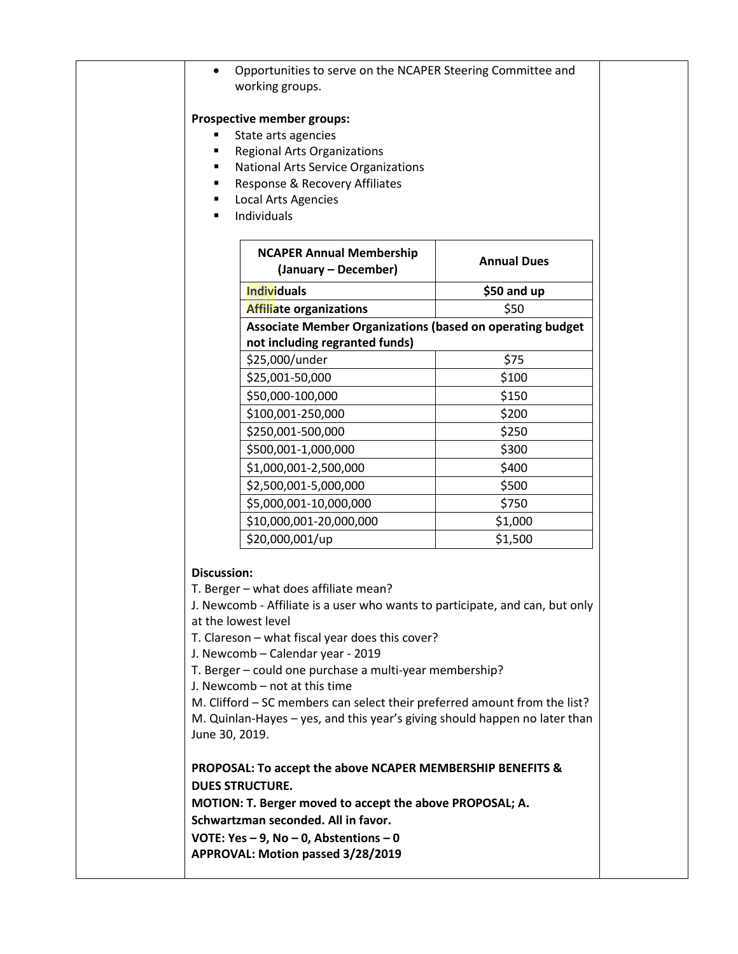| $\bullet$                            | Opportunities to serve on the NCAPER Steering Committee and<br>working groups.                                                                                                                                                                                                                                                                                                                                                                                                              |                    |
|--------------------------------------|---------------------------------------------------------------------------------------------------------------------------------------------------------------------------------------------------------------------------------------------------------------------------------------------------------------------------------------------------------------------------------------------------------------------------------------------------------------------------------------------|--------------------|
| ٠                                    | Prospective member groups:<br>State arts agencies<br><b>Regional Arts Organizations</b><br><b>National Arts Service Organizations</b><br>Response & Recovery Affiliates<br>Local Arts Agencies<br>Individuals                                                                                                                                                                                                                                                                               |                    |
|                                      | <b>NCAPER Annual Membership</b><br>(January – December)                                                                                                                                                                                                                                                                                                                                                                                                                                     | <b>Annual Dues</b> |
|                                      | <b>Individuals</b>                                                                                                                                                                                                                                                                                                                                                                                                                                                                          | \$50 and up        |
|                                      | <b>Affiliate organizations</b>                                                                                                                                                                                                                                                                                                                                                                                                                                                              | \$50               |
|                                      | Associate Member Organizations (based on operating budget                                                                                                                                                                                                                                                                                                                                                                                                                                   |                    |
|                                      | not including regranted funds)                                                                                                                                                                                                                                                                                                                                                                                                                                                              |                    |
|                                      | \$25,000/under                                                                                                                                                                                                                                                                                                                                                                                                                                                                              | \$75               |
|                                      | \$25,001-50,000                                                                                                                                                                                                                                                                                                                                                                                                                                                                             | \$100              |
|                                      | \$50,000-100,000                                                                                                                                                                                                                                                                                                                                                                                                                                                                            | \$150              |
|                                      | \$100,001-250,000                                                                                                                                                                                                                                                                                                                                                                                                                                                                           | \$200              |
|                                      | \$250,001-500,000                                                                                                                                                                                                                                                                                                                                                                                                                                                                           | \$250              |
|                                      | \$500,001-1,000,000                                                                                                                                                                                                                                                                                                                                                                                                                                                                         | \$300              |
|                                      | \$1,000,001-2,500,000                                                                                                                                                                                                                                                                                                                                                                                                                                                                       | \$400              |
|                                      | \$2,500,001-5,000,000                                                                                                                                                                                                                                                                                                                                                                                                                                                                       | \$500              |
|                                      | \$5,000,001-10,000,000                                                                                                                                                                                                                                                                                                                                                                                                                                                                      | \$750              |
|                                      | \$10,000,001-20,000,000                                                                                                                                                                                                                                                                                                                                                                                                                                                                     | \$1,000            |
|                                      | \$20,000,001/up                                                                                                                                                                                                                                                                                                                                                                                                                                                                             | \$1,500            |
| <b>Discussion:</b><br>June 30, 2019. | T. Berger - what does affiliate mean?<br>J. Newcomb - Affiliate is a user who wants to participate, and can, but only<br>at the lowest level<br>T. Clareson - what fiscal year does this cover?<br>J. Newcomb - Calendar year - 2019<br>T. Berger - could one purchase a multi-year membership?<br>J. Newcomb - not at this time<br>M. Clifford - SC members can select their preferred amount from the list?<br>M. Quinlan-Hayes - yes, and this year's giving should happen no later than |                    |
|                                      | PROPOSAL: To accept the above NCAPER MEMBERSHIP BENEFITS &<br><b>DUES STRUCTURE.</b><br>MOTION: T. Berger moved to accept the above PROPOSAL; A.<br>Schwartzman seconded. All in favor.<br>VOTE: Yes $-9$ , No $-0$ , Abstentions $-0$<br>APPROVAL: Motion passed 3/28/2019                                                                                                                                                                                                                 |                    |